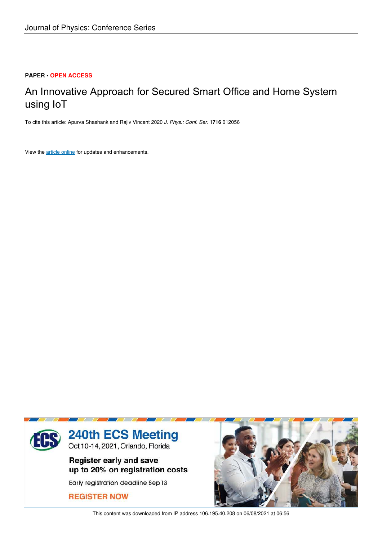## **PAPER • OPEN ACCESS**

# An Innovative Approach for Secured Smart Office and Home System using IoT

To cite this article: Apurva Shashank and Rajiv Vincent 2020 *J. Phys.: Conf. Ser.* **1716** 012056

View the article online for updates and enhancements.



This content was downloaded from IP address 106.195.40.208 on 06/08/2021 at 06:56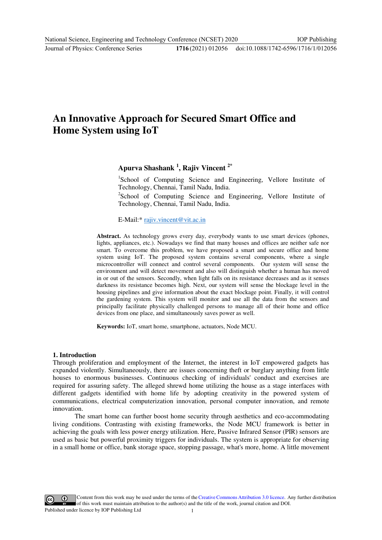## **An Innovative Approach for Secured Smart Office and Home System using IoT**

**Apurva Shashank <sup>1</sup> , Rajiv Vincent 2\*** 

<sup>1</sup>School of Computing Science and Engineering, Vellore Institute of Technology, Chennai, Tamil Nadu, India.

<sup>2</sup>School of Computing Science and Engineering, Vellore Institute of Technology, Chennai, Tamil Nadu, India.

E-Mail:\* rajiv.vincent@vit.ac.in

**Abstract.** As technology grows every day, everybody wants to use smart devices (phones, lights, appliances[, etc.\). Nowadays we find th](mailto:rajiv.vincent@vit.ac.in)at many houses and offices are neither safe nor smart. To overcome this problem, we have proposed a smart and secure office and home system using IoT. The proposed system contains several components, where a single microcontroller will connect and control several components. Our system will sense the environment and will detect movement and also will distinguish whether a human has moved in or out of the sensors. Secondly, when light falls on its resistance decreases and as it senses darkness its resistance becomes high. Next, our system will sense the blockage level in the housing pipelines and give information about the exact blockage point. Finally, it will control the gardening system. This system will monitor and use all the data from the sensors and principally facilitate physically challenged persons to manage all of their home and office devices from one place, and simultaneously saves power as well.

**Keywords:** IoT, smart home, smartphone, actuators, Node MCU.

#### **1. Introduction**

Through proliferation and employment of the Internet, the interest in IoT empowered gadgets has expanded violently. Simultaneously, there are issues concerning theft or burglary anything from little houses to enormous businesses. Continuous checking of individuals' conduct and exercises are required for assuring safety. The alleged shrewd home utilizing the house as a stage interfaces with different gadgets identified with home life by adopting creativity in the powered system of communications, electrical computerization innovation, personal computer innovation, and remote innovation.

The smart home can further boost home security through aesthetics and eco-accommodating living conditions. Contrasting with existing frameworks, the Node MCU framework is better in achieving the goals with less power energy utilization. Here, Passive Infrared Sensor (PIR) sensors are used as basic but powerful proximity triggers for individuals. The system is appropriate for observing in a small home or office, bank storage space, stopping passage, what's more, home. A little movement

Content from this work may be used under the terms of the Creative Commons Attribution 3.0 licence. Any further distribution of this work must maintain attribution to the author(s) and the title of the work, journal citation and DOI. Published under licence by IOP Publishing Ltd 1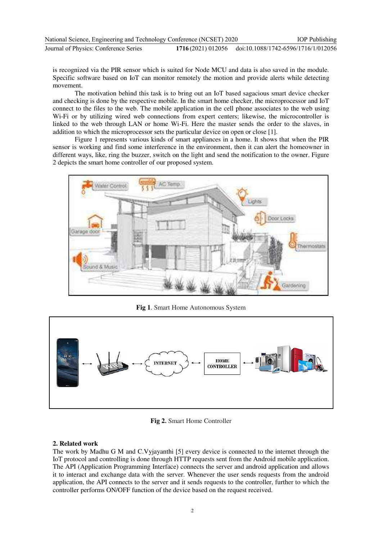| National Science, Engineering and Technology Conference (NCSET) 2020 |                                                       | <b>IOP</b> Publishing |
|----------------------------------------------------------------------|-------------------------------------------------------|-----------------------|
| Journal of Physics: Conference Series                                | 1716(2021) 012056 doi:10.1088/1742-6596/1716/1/012056 |                       |

is recognized via the PIR sensor which is suited for Node MCU and data is also saved in the module. Specific software based on IoT can monitor remotely the motion and provide alerts while detecting movement.

The motivation behind this task is to bring out an IoT based sagacious smart device checker and checking is done by the respective mobile. In the smart home checker, the microprocessor and IoT connect to the files to the web. The mobile application in the cell phone associates to the web using Wi-Fi or by utilizing wired web connections from expert centers; likewise, the microcontroller is linked to the web through LAN or home Wi-Fi. Here the master sends the order to the slaves, in addition to which the microprocessor sets the particular device on open or close [1].

Figure 1 represents various kinds of smart appliances in a home. It shows that when the PIR sensor is working and find some interference in the environment, then it can alert the homeowner in different ways, like, ring the buzzer, switch on the light and send the notification to the owner. Figure 2 depicts the smart home controller of our proposed system.



**Fig 1**. Smart Home Autonomous System



**Fig 2.** Smart Home Controller

## **2. Related work**

The work by Madhu G M and C.Vyjayanthi [5] every device is connected to the internet through the IoT protocol and controlling is done through HTTP requests sent from the Android mobile application. The API (Application Programming Interface) connects the server and android application and allows it to interact and exchange data with the server. Whenever the user sends requests from the android application, the API connects to the server and it sends requests to the controller, further to which the controller performs ON/OFF function of the device based on the request received.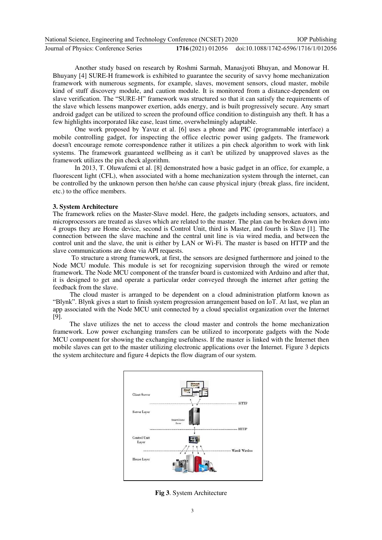| National Science, Engineering and Technology Conference (NCSET) 2020 |                                                       | <b>IOP</b> Publishing |
|----------------------------------------------------------------------|-------------------------------------------------------|-----------------------|
| Journal of Physics: Conference Series                                | 1716(2021) 012056 doi:10.1088/1742-6596/1716/1/012056 |                       |

Another study based on research by Roshmi Sarmah, Manasjyoti Bhuyan, and Monowar H. Bhuyany [4] SURE-H framework is exhibited to guarantee the security of savvy home mechanization framework with numerous segments, for example, slaves, movement sensors, cloud master, mobile kind of stuff discovery module, and caution module. It is monitored from a distance-dependent on slave verification. The "SURE-H" framework was structured so that it can satisfy the requirements of the slave which lessens manpower exertion, adds energy, and is built progressively secure. Any smart android gadget can be utilized to screen the profound office condition to distinguish any theft. It has a few highlights incorporated like ease, least time, overwhelmingly adaptable.

One work proposed by Yavuz et al. [6] uses a phone and PIC (programmable interface) a mobile controlling gadget, for inspecting the office electric power using gadgets. The framework doesn't encourage remote correspondence rather it utilizes a pin check algorithm to work with link systems. The framework guaranteed wellbeing as it can't be utilized by unapproved slaves as the framework utilizes the pin check algorithm.

In 2013, T. Oluwafemi et al. [8] demonstrated how a basic gadget in an office, for example, a fluorescent light (CFL), when associated with a home mechanization system through the internet, can be controlled by the unknown person then he/she can cause physical injury (break glass, fire incident, etc.) to the office members.

#### **3. System Architecture**

The framework relies on the Master-Slave model. Here, the gadgets including sensors, actuators, and microprocessors are treated as slaves which are related to the master. The plan can be broken down into 4 groups they are Home device, second is Control Unit, third is Master, and fourth is Slave [1]. The connection between the slave machine and the central unit line is via wired media, and between the control unit and the slave, the unit is either by LAN or Wi-Fi. The master is based on HTTP and the slave communications are done via API requests.

 To structure a strong framework, at first, the sensors are designed furthermore and joined to the Node MCU module. This module is set for recognizing supervision through the wired or remote framework. The Node MCU component of the transfer board is customized with Arduino and after that, it is designed to get and operate a particular order conveyed through the internet after getting the feedback from the slave.

 The cloud master is arranged to be dependent on a cloud administration platform known as "Blynk". Blynk gives a start to finish system progression arrangement based on IoT. At last, we plan an app associated with the Node MCU unit connected by a cloud specialist organization over the Internet [9].

 The slave utilizes the net to access the cloud master and controls the home mechanization framework. Low power exchanging transfers can be utilized to incorporate gadgets with the Node MCU component for showing the exchanging usefulness. If the master is linked with the Internet then mobile slaves can get to the master utilizing electronic applications over the Internet. Figure 3 depicts the system architecture and figure 4 depicts the flow diagram of our system.



**Fig 3**. System Architecture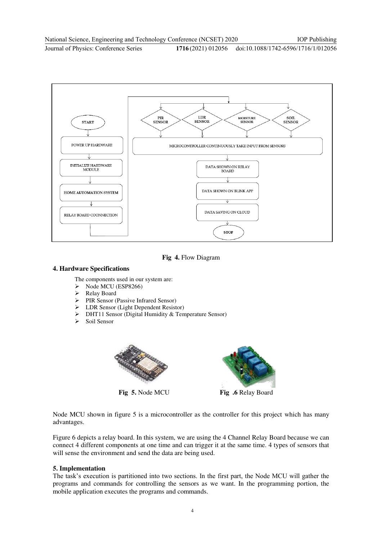Journal of Physics: Conference Series **1716** (2021) 012056



## **Fig 4.** Flow Diagram

#### **4. Hardware Specifications**

The components used in our system are:

- $\triangleright$  Node MCU (ESP8266)
- ▶ Relay Board
- PIR Sensor (Passive Infrared Sensor)
- > LDR Sensor (Light Dependent Resistor)
- $\triangleright$  DHT11 Sensor (Digital Humidity & Temperature Sensor)<br> $\triangleright$  Soil Sensor
- Soil Sensor



**Fig 5.** Node MCU **Fig .6** Relay Board



Node MCU shown in figure 5 is a microcontroller as the controller for this project which has many advantages.

Figure 6 depicts a relay board. In this system, we are using the 4 Channel Relay Board because we can connect 4 different components at one time and can trigger it at the same time. 4 types of sensors that will sense the environment and send the data are being used.

#### **5. Implementation**

The task's execution is partitioned into two sections. In the first part, the Node MCU will gather the programs and commands for controlling the sensors as we want. In the programming portion, the mobile application executes the programs and commands.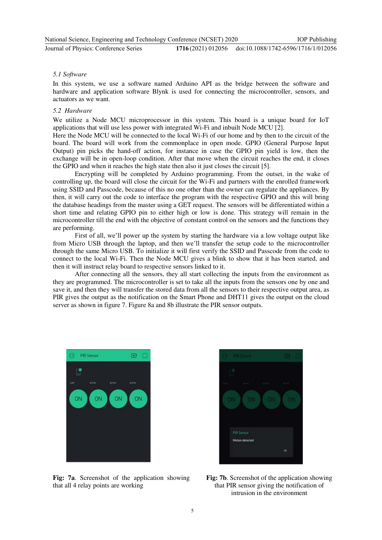IOP Publishing

#### Journal of Physics: Conference Series **1716** (2021) 012056

#### *5.1 Software*

In this system, we use a software named Arduino API as the bridge between the software and hardware and application software Blynk is used for connecting the microcontroller, sensors, and actuators as we want.

#### *5.2 Hardware*

We utilize a Node MCU microprocessor in this system. This board is a unique board for IoT applications that will use less power with integrated Wi-Fi and inbuilt Node MCU [2].

Here the Node MCU will be connected to the local Wi-Fi of our home and by then to the circuit of the board. The board will work from the commonplace in open mode. GPIO (General Purpose Input Output) pin picks the hand-off action, for instance in case the GPIO pin yield is low, then the exchange will be in open-loop condition. After that move when the circuit reaches the end, it closes the GPIO and when it reaches the high state then also it just closes the circuit [5].

Encrypting will be completed by Arduino programming. From the outset, in the wake of controlling up, the board will close the circuit for the Wi-Fi and partners with the enrolled framework using SSID and Passcode, because of this no one other than the owner can regulate the appliances. By then, it will carry out the code to interface the program with the respective GPIO and this will bring the database headings from the master using a GET request. The sensors will be differentiated within a short time and relating GPIO pin to either high or low is done. This strategy will remain in the microcontroller till the end with the objective of constant control on the sensors and the functions they are performing.

First of all, we'll power up the system by starting the hardware via a low voltage output like from Micro USB through the laptop, and then we'll transfer the setup code to the microcontroller through the same Micro USB. To initialize it will first verify the SSID and Passcode from the code to connect to the local Wi-Fi. Then the Node MCU gives a blink to show that it has been started, and then it will instruct relay board to respective sensors linked to it.

After connecting all the sensors, they all start collecting the inputs from the environment as they are programmed. The microcontroller is set to take all the inputs from the sensors one by one and save it, and then they will transfer the stored data from all the sensors to their respective output area, as PIR gives the output as the notification on the Smart Phone and DHT11 gives the output on the cloud server as shown in figure 7. Figure 8a and 8b illustrate the PIR sensor outputs.



**Fig: 7a**. Screenshot of the application showing that all 4 relay points are working



**Fig: 7b**. Screenshot of the application showing that PIR sensor giving the notification of intrusion in the environment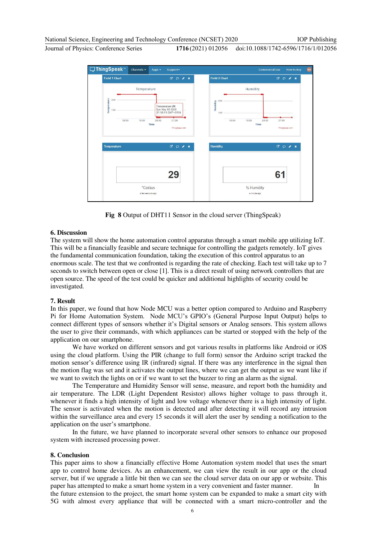National Science, Engineering and Technology Conference (NCSET) 2020

Journal of Physics: Conference Series **1716** (2021) 012056

doi:10.1088/1742-6596/1716/1/012056

IOP Publishing



**Fig 8** Output of DHT11 Sensor in the cloud server (ThingSpeak)

## **6. Discussion**

The system will show the home automation control apparatus through a smart mobile app utilizing IoT. This will be a financially feasible and secure technique for controlling the gadgets remotely. IoT gives the fundamental communication foundation, taking the execution of this control apparatus to an enormous scale. The test that we confronted is regarding the rate of checking. Each test will take up to 7 seconds to switch between open or close [1]. This is a direct result of using network controllers that are open source. The speed of the test could be quicker and additional highlights of security could be investigated.

#### **7. Result**

In this paper, we found that how Node MCU was a better option compared to Arduino and Raspberry Pi for Home Automation System. Node MCU's GPIO's (General Purpose Input Output) helps to connect different types of sensors whether it's Digital sensors or Analog sensors. This system allows the user to give their commands, with which appliances can be started or stopped with the help of the application on our smartphone.

We have worked on different sensors and got various results in platforms like Android or iOS using the cloud platform. Using the PIR (change to full form) sensor the Arduino script tracked the motion sensor's difference using IR (infrared) signal. If there was any interference in the signal then the motion flag was set and it activates the output lines, where we can get the output as we want like if we want to switch the lights on or if we want to set the buzzer to ring an alarm as the signal.

The Temperature and Humidity Sensor will sense, measure, and report both the humidity and air temperature. The LDR (Light Dependent Resistor) allows higher voltage to pass through it, whenever it finds a high intensity of light and low voltage whenever there is a high intensity of light. The sensor is activated when the motion is detected and after detecting it will record any intrusion within the surveillance area and every 15 seconds it will alert the user by sending a notification to the application on the user's smartphone.

In the future, we have planned to incorporate several other sensors to enhance our proposed system with increased processing power.

#### **8. Conclusion**

This paper aims to show a financially effective Home Automation system model that uses the smart app to control home devices. As an enhancement, we can view the result in our app or the cloud server, but if we upgrade a little bit then we can see the cloud server data on our app or website. This paper has attempted to make a smart home system in a very convenient and faster manner. the future extension to the project, the smart home system can be expanded to make a smart city with 5G with almost every appliance that will be connected with a smart micro-controller and the